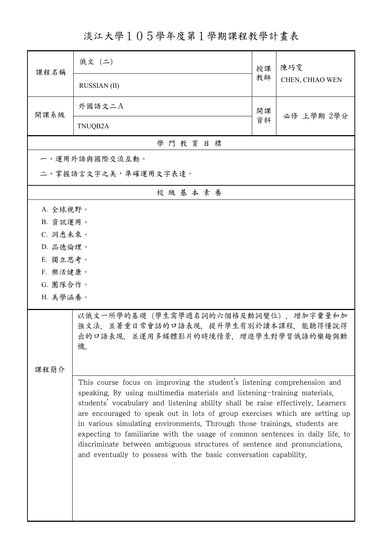淡江大學105學年度第1學期課程教學計畫表

| 課程名稱                 | 俄文 (二)                                                                                                                                                                                                                                                                                                                                                                                                                                                                                                                                                                                                                                  | 授課 | 陳巧雯<br>CHEN, CHIAO WEN |  |  |  |  |
|----------------------|-----------------------------------------------------------------------------------------------------------------------------------------------------------------------------------------------------------------------------------------------------------------------------------------------------------------------------------------------------------------------------------------------------------------------------------------------------------------------------------------------------------------------------------------------------------------------------------------------------------------------------------------|----|------------------------|--|--|--|--|
|                      | <b>RUSSIAN</b> (II)                                                                                                                                                                                                                                                                                                                                                                                                                                                                                                                                                                                                                     | 教師 |                        |  |  |  |  |
| 開課系級                 | 外國語文二A                                                                                                                                                                                                                                                                                                                                                                                                                                                                                                                                                                                                                                  | 開課 | 必修 上學期 2學分             |  |  |  |  |
|                      | TNUQB2A                                                                                                                                                                                                                                                                                                                                                                                                                                                                                                                                                                                                                                 | 資料 |                        |  |  |  |  |
| 學門教育目標               |                                                                                                                                                                                                                                                                                                                                                                                                                                                                                                                                                                                                                                         |    |                        |  |  |  |  |
|                      | 一、運用外語與國際交流互動。                                                                                                                                                                                                                                                                                                                                                                                                                                                                                                                                                                                                                          |    |                        |  |  |  |  |
| 二、掌握語言文字之美,準確運用文字表達。 |                                                                                                                                                                                                                                                                                                                                                                                                                                                                                                                                                                                                                                         |    |                        |  |  |  |  |
|                      | 校級基本素養                                                                                                                                                                                                                                                                                                                                                                                                                                                                                                                                                                                                                                  |    |                        |  |  |  |  |
| A. 全球視野。             |                                                                                                                                                                                                                                                                                                                                                                                                                                                                                                                                                                                                                                         |    |                        |  |  |  |  |
| B. 資訊運用。             |                                                                                                                                                                                                                                                                                                                                                                                                                                                                                                                                                                                                                                         |    |                        |  |  |  |  |
| C. 洞悉未來。             |                                                                                                                                                                                                                                                                                                                                                                                                                                                                                                                                                                                                                                         |    |                        |  |  |  |  |
| D. 品德倫理。             |                                                                                                                                                                                                                                                                                                                                                                                                                                                                                                                                                                                                                                         |    |                        |  |  |  |  |
| E. 獨立思考。             |                                                                                                                                                                                                                                                                                                                                                                                                                                                                                                                                                                                                                                         |    |                        |  |  |  |  |
| F. 樂活健康。             |                                                                                                                                                                                                                                                                                                                                                                                                                                                                                                                                                                                                                                         |    |                        |  |  |  |  |
| G. 團隊合作。<br>H. 美學涵養。 |                                                                                                                                                                                                                                                                                                                                                                                                                                                                                                                                                                                                                                         |    |                        |  |  |  |  |
|                      |                                                                                                                                                                                                                                                                                                                                                                                                                                                                                                                                                                                                                                         |    |                        |  |  |  |  |
|                      | 以俄文一所學的基礎 (學生需學過名詞的六個格及動詞變位) , 增加字彙量和加<br>強文法,並著重日常會話的口語表現,提升學生有別於讀本課程,能聽得懂說得<br>出的口語表現,並運用多媒體影片的時境情景,增進學生對學習俄語的樂趣與動<br>機。                                                                                                                                                                                                                                                                                                                                                                                                                                                                                                              |    |                        |  |  |  |  |
| 課程簡介                 |                                                                                                                                                                                                                                                                                                                                                                                                                                                                                                                                                                                                                                         |    |                        |  |  |  |  |
|                      | This course focus on improving the student's listening comprehension and<br>speaking. By using multimedia materials and listening-training materials,<br>students' vocabulary and listening ability shall be raise effectively. Learners<br>are encouraged to speak out in lots of group exercises which are setting up<br>in various simulating environments. Through those trainings, students are<br>expecting to familiarize with the usage of common sentences in daily life, to<br>discriminate between ambiguous structures of sentence and pronunciations,<br>and eventually to possess with the basic conversation capability. |    |                        |  |  |  |  |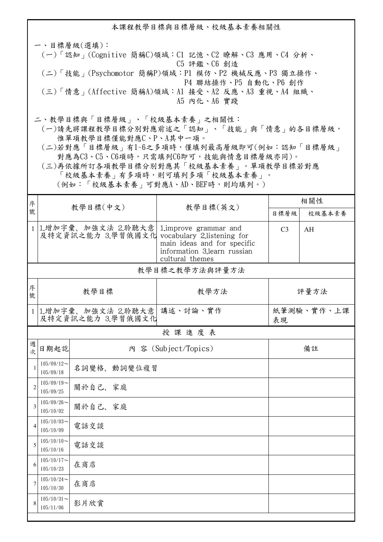本課程教學目標與目標層級、校級基本素養相關性 一、目標層級(選填): (一)「認知」(Cognitive 簡稱C)領域:C1 記憶、C2 瞭解、C3 應用、C4 分析、 C5 評鑑、C6 創造 (二)「技能」(Psychomotor 簡稱P)領域:P1 模仿、P2 機械反應、P3 獨立操作、 P4 聯結操作、P5 自動化、P6 創作 (三)「情意」(Affective 簡稱A)領域:A1 接受、A2 反應、A3 重視、A4 組織、 A5 內化、A6 實踐 二、教學目標與「目標層級」、「校級基本素養」之相關性: (一)請先將課程教學目標分別對應前述之「認知」、「技能」與「情意」的各目標層級, 惟單項教學目標僅能對應C、P、A其中一項。

 (二)若對應「目標層級」有1~6之多項時,僅填列最高層級即可(例如:認知「目標層級」 對應為C3、C5、C6項時,只需填列C6即可,技能與情意目標層級亦同)。

 (三)再依據所訂各項教學目標分別對應其「校級基本素養」。單項教學目標若對應 「校級基本素養」有多項時,則可填列多項「校級基本素養」。 (例如:「校級基本素養」可對應A、AD、BEF時,則均填列。)

| 序              | 教學目標(中文)                                                             |             | 教學目標(英文)                                                                                                | 相關性              |        |  |  |  |
|----------------|----------------------------------------------------------------------|-------------|---------------------------------------------------------------------------------------------------------|------------------|--------|--|--|--|
| 號              |                                                                      |             |                                                                                                         | 目標層級             | 校級基本素養 |  |  |  |
|                | 1 1.增加字彙、加強文法 2.聆聽大意<br>及特定資訊之能力 3.學習俄國文化 vocabulary 2.listening for |             | 1. improve grammar and<br>main ideas and for specific<br>information 3.learn russian<br>cultural themes | C <sub>3</sub>   | AH     |  |  |  |
|                | 教學目標之教學方法與評量方法                                                       |             |                                                                                                         |                  |        |  |  |  |
| 序<br>號         | 教學目標                                                                 |             | 教學方法                                                                                                    | 評量方法             |        |  |  |  |
|                | 1 1.增加字彙、加強文法 2.聆聽大意<br>及特定資訊之能力 3.學習俄國文化                            |             | 講述、討論、實作                                                                                                | 紙筆測驗、實作、上課<br>表現 |        |  |  |  |
|                |                                                                      |             | 授課進度表                                                                                                   |                  |        |  |  |  |
| 週<br>次         | 日期起訖                                                                 |             | 內 容 (Subject/Topics)                                                                                    |                  | 備註     |  |  |  |
| $\mathbf{1}$   | $105/09/12$ ~<br>105/09/18                                           | 名詞變格、動詞變位複習 |                                                                                                         |                  |        |  |  |  |
| $\overline{2}$ | $105/09/19$ ~<br>105/09/25                                           | 關於自己、家庭     |                                                                                                         |                  |        |  |  |  |
| $\overline{3}$ | $105/09/26$ ~<br>105/10/02                                           | 關於自己、家庭     |                                                                                                         |                  |        |  |  |  |
| $\overline{4}$ | $105/10/03$ ~<br>105/10/09                                           | 電話交談        |                                                                                                         |                  |        |  |  |  |
| 5              | $105/10/10$ ~<br>105/10/16                                           | 電話交談        |                                                                                                         |                  |        |  |  |  |
| 6              | $105/10/17$ ~<br>105/10/23                                           | 在商店         |                                                                                                         |                  |        |  |  |  |
| $\overline{7}$ | $105/10/24$ ~<br>105/10/30                                           | 在商店         |                                                                                                         |                  |        |  |  |  |
| 8              | $105/10/31$ ~<br>105/11/06                                           | 影片欣賞        |                                                                                                         |                  |        |  |  |  |